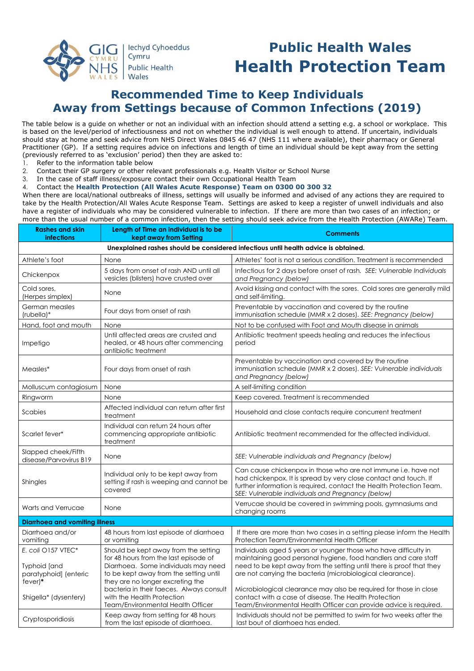

# **Public Health Wales Health Protection Team**

## **Recommended Time to Keep Individuals Away from Settings because of Common Infections (2019)**

The table below is a guide on whether or not an individual with an infection should attend a setting e.g. a school or workplace. This is based on the level/period of infectiousness and not on whether the individual is well enough to attend. If uncertain, individuals should stay at home and seek advice from NHS Direct Wales 0845 46 47 (NHS 111 where available), their pharmacy or General Practitioner (GP). If a setting requires advice on infections and length of time an individual should be kept away from the setting (previously referred to as 'exclusion' period) then they are asked to:

- 1. Refer to the information table below
- 2. Contact their GP surgery or other relevant professionals e.g. Health Visitor or School Nurse
- 3. In the case of staff illness/exposure contact their own Occupational Health Team
- 4. Contact the **Health Protection (All Wales Acute Response) Team on 0300 00 300 32**

When there are local/national outbreaks of illness, settings will usually be informed and advised of any actions they are required to take by the Health Protection/All Wales Acute Response Team. Settings are asked to keep a register of unwell individuals and also have a register of individuals who may be considered vulnerable to infection. If there are more than two cases of an infection; or more than the usual number of a common infection, then the setting should seek advice from the Health Protection (AWARe) Team.

| <b>Rashes and skin</b><br><b>infections</b>                                                       | Length of Time an individual is to be<br>kept away from Setting                                                                                                                                                                                                                                                    | <b>Comments</b>                                                                                                                                                                                                                                                                                                                                                                                                                                                              |  |
|---------------------------------------------------------------------------------------------------|--------------------------------------------------------------------------------------------------------------------------------------------------------------------------------------------------------------------------------------------------------------------------------------------------------------------|------------------------------------------------------------------------------------------------------------------------------------------------------------------------------------------------------------------------------------------------------------------------------------------------------------------------------------------------------------------------------------------------------------------------------------------------------------------------------|--|
| Unexplained rashes should be considered infectious until health advice is obtained.               |                                                                                                                                                                                                                                                                                                                    |                                                                                                                                                                                                                                                                                                                                                                                                                                                                              |  |
| Athlete's foot                                                                                    | None                                                                                                                                                                                                                                                                                                               | Athletes' foot is not a serious condition. Treatment is recommended                                                                                                                                                                                                                                                                                                                                                                                                          |  |
| Chickenpox                                                                                        | 5 days from onset of rash AND until all<br>vesicles (blisters) have crusted over                                                                                                                                                                                                                                   | Infectious for 2 days before onset of rash. SEE: Vulnerable Individuals<br>and Pregnancy (below)                                                                                                                                                                                                                                                                                                                                                                             |  |
| Cold sores.<br>(Herpes simplex)                                                                   | None                                                                                                                                                                                                                                                                                                               | Avoid kissing and contact with the sores. Cold sores are generally mild<br>and self-limiting.                                                                                                                                                                                                                                                                                                                                                                                |  |
| German measles<br>(rubella)*                                                                      | Four days from onset of rash                                                                                                                                                                                                                                                                                       | Preventable by vaccination and covered by the routine<br>immunisation schedule (MMR x 2 doses). SEE: Pregnancy (below)                                                                                                                                                                                                                                                                                                                                                       |  |
| Hand, foot and mouth                                                                              | None                                                                                                                                                                                                                                                                                                               | Not to be confused with Foot and Mouth disease in animals                                                                                                                                                                                                                                                                                                                                                                                                                    |  |
| Impetigo                                                                                          | Until affected areas are crusted and<br>healed, or 48 hours after commencing<br>antibiotic treatment                                                                                                                                                                                                               | Antibiotic treatment speeds healing and reduces the infectious<br>period                                                                                                                                                                                                                                                                                                                                                                                                     |  |
| Measles*                                                                                          | Four days from onset of rash                                                                                                                                                                                                                                                                                       | Preventable by vaccination and covered by the routine<br>immunisation schedule (MMR x 2 doses). SEE: Vulnerable individuals<br>and Pregnancy (below)                                                                                                                                                                                                                                                                                                                         |  |
| Molluscum contagiosum                                                                             | None                                                                                                                                                                                                                                                                                                               | A self-limiting condition                                                                                                                                                                                                                                                                                                                                                                                                                                                    |  |
| Ringworm                                                                                          | None                                                                                                                                                                                                                                                                                                               | Keep covered. Treatment is recommended                                                                                                                                                                                                                                                                                                                                                                                                                                       |  |
| Scabies                                                                                           | Affected individual can return after first<br>treatment                                                                                                                                                                                                                                                            | Household and close contacts require concurrent treatment                                                                                                                                                                                                                                                                                                                                                                                                                    |  |
| Scarlet fever*                                                                                    | Individual can return 24 hours after<br>commencing appropriate antibiotic<br>treatment                                                                                                                                                                                                                             | Antibiotic treatment recommended for the affected individual.                                                                                                                                                                                                                                                                                                                                                                                                                |  |
| Slapped cheek/Fifth<br>disease/Parvovirus B19                                                     | None                                                                                                                                                                                                                                                                                                               | SEE: Vulnerable individuals and Pregnancy (below)                                                                                                                                                                                                                                                                                                                                                                                                                            |  |
| Shingles                                                                                          | Individual only to be kept away from<br>setting if rash is weeping and cannot be<br>covered                                                                                                                                                                                                                        | Can cause chickenpox in those who are not immune i.e. have not<br>had chickenpox. It is spread by very close contact and touch. If<br>further information is required, contact the Health Protection Team.<br>SEE: Vulnerable individuals and Pregnancy (below)                                                                                                                                                                                                              |  |
| Warts and Verrucae                                                                                | None                                                                                                                                                                                                                                                                                                               | Verrucae should be covered in swimming pools, gymnasiums and<br>changing rooms                                                                                                                                                                                                                                                                                                                                                                                               |  |
| <b>Diarrhoea and vomiting illness</b>                                                             |                                                                                                                                                                                                                                                                                                                    |                                                                                                                                                                                                                                                                                                                                                                                                                                                                              |  |
| Diarrhoea and/or<br>vomiting                                                                      | 48 hours from last episode of diarrhoea<br>or vomiting                                                                                                                                                                                                                                                             | If there are more than two cases in a setting please inform the Health<br>Protection Team/Environmental Health Officer                                                                                                                                                                                                                                                                                                                                                       |  |
| E. coli O157 VTEC*<br>Typhoid [and<br>paratyphoid] (enteric<br>$fever)*$<br>Shigella* (dysentery) | Should be kept away from the setting<br>for 48 hours from the last episode of<br>Diarrhoea. Some individuals may need<br>to be kept away from the setting until<br>they are no longer excreting the<br>bacteria in their faeces. Always consult<br>with the Health Protection<br>Team/Environmental Health Officer | Individuals aged 5 years or younger those who have difficulty in<br>maintaining good personal hygiene, food handlers and care staff<br>need to be kept away from the setting until there is proof that they<br>are not carrying the bacteria (microbiological clearance).<br>Microbiological clearance may also be required for those in close<br>contact with a case of disease. The Health Protection<br>Team/Environmental Health Officer can provide advice is required. |  |
| Cryptosporidiosis                                                                                 | Keep away from setting for 48 hours<br>from the last episode of diarrhoea.                                                                                                                                                                                                                                         | Individuals should not be permitted to swim for two weeks after the<br>last bout of diarrhoea has ended.                                                                                                                                                                                                                                                                                                                                                                     |  |